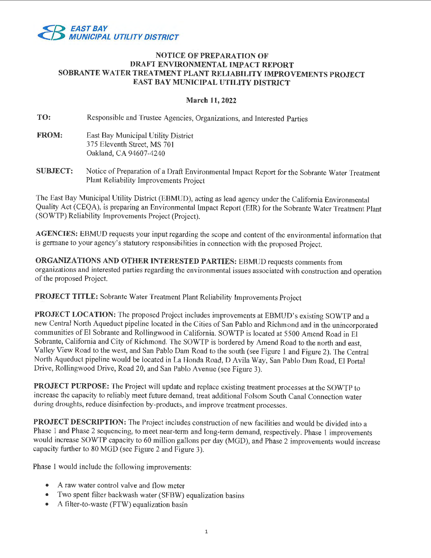

# **NOTICE OF PREPARATION OF DRAFT ENVIRONMENTAL IMPACT REPORT SOBRANTE WATER TREATMENT PLANT RELIABILITY IMPROVEMENTS PROJECT EAST BAY MUNICIPAL UTILITY DISTRICT**

# **March 11, 2022**

**TO:**  Responsible and Trustee Agencies, Organizations, and Interested Parties

- **FROM:**  East Bay Municipal Utility District 375 Eleventh Street, MS 701 Oakland, CA 94607-4240
- **SUBJECT:**  Notice of Preparation of a Draft Environmental Impact Report for the Sobrante Water Treatment Plant Reliability Improvements Project

The East Bay Municipal Utility District (EBMUD), acting as lead agency under the California Environmental Quality Act (CEQA), is preparing an Environmental Impact Report (EIR) for the Sobrante Water Treatment Plant (SOWTP) Reliability Improvements Project (Project).

**AGENCIES:** EBMUD requests your input regarding the scope and content of the environmental information that is germane to your agency's statutory responsibilities in connection with the proposed Project.

**ORGANIZATIONS AND OTHER INTERESTED PARTIES:** EBMUD requests comments from organizations and interested parties regarding the environmental issues associated with construction and operation of the proposed Project.

**PROJECT TITLE:** Sobrante Water Treatment Plant Reliability Improvements Project

PROJECT LOCATION: The proposed Project includes improvements at EBMUD's existing SOWTP and a new Central North Aqueduct pipeline located in the Cities of San Pablo and Richmond and in the unincorporated communities of El Sobrante and Rollingwood in California. SOWTP is located at 5500 Amend Road in El Sobrante, California and City of Richmond. The SOWTP is bordered by Amend Road to the north and east, Valley View Road to the west, and San Pablo Dam Road to the south (see Figure 1 and Figure 2). The Central North Aqueduct pipeline would be located in La Honda Road, D Avila Way, San Pablo Dam Road, El Portal Drive, Rollingwood Drive, Road 20, and San Pablo Avenue (see Figure 3).

**PROJECT PURPOSE:** The Project will update and replace existing treatment processes at the SOWTP to increase the capacity to reliably meet future demand, treat additional Folsom South Canal Connection water during droughts, reduce disinfection by-products, and improve treatment processes.

**PROJECT DESCRIPTION:** The Project includes construction of new facilities and would be divided into a Phase 1 and Phase 2 sequencing, to meet near-term and long-term demand, respectively. Phase 1 improvements would increase SOWTP capacity to 60 million gallons per day (MGD), and Phase 2 improvements would increase capacity further to 80 MGD (see Figure 2 and Figure 3).

Phase 1 would include the following improvements:

- A raw water control valve and flow meter
- Two spent filter backwash water (SFBW) equalization basins
- A filter-to-waste (FTW) equalization basin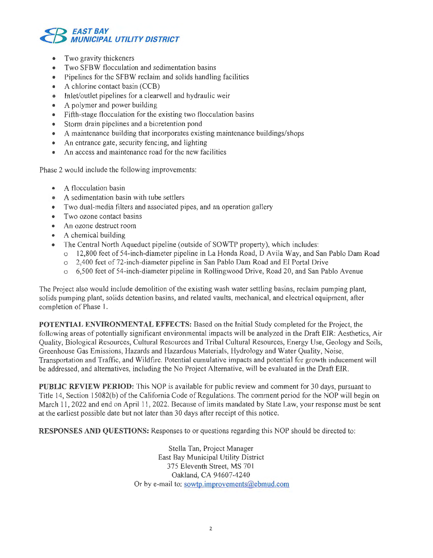

- Two gravity thickeners
- Two SFBW flocculation and sedimentation basins
- Pipelines for the SFBW reclaim and solids handling facilities
- A chlorine contact basin (CCB)
- Inlet/outlet pipelines for a clearwell and hydraulic weir
- A polymer and power building
- Fifth-stage flocculation for the existing two flocculation basins
- Storm drain pipelines and a bioretention pond
- A maintenance building that incorporates existing maintenance buildings/shops
- An entrance gate, security fencing, and lighting
- An access and maintenance road for the new facilities

Phase 2 would include the following improvements:

- A flocculation basin
- A sedimentation basin with tube settlers
- Two dual-media filters and associated pipes, and an operation gallery
- Two ozone contact basins
- An ozone destruct room
- A chemical building
- The Central North Aqueduct pipeline (outside of SOWTP property), which includes:
	- o 12,800 feet of 54-inch-diameter pipeline in La Honda Road, D Avila Way, and San Pablo Dam Road
	- o 2,400 feet of 72-inch-diameter pipeline in San Pablo Dam Road and El Portal Drive
	- o 6,500 feet of 54-inch-diameter pipeline in Rollingwood Drive, Road 20, and San Pablo Avenue

The Project also would include demolition of the existing wash water settling basins, reclaim pumping plant, solids pumping plant, solids detention basins, and related vaults, mechanical, and electrical equipment, after completion of Phase I.

**POTENTIAL ENVIRONMENTAL EFFECTS:** Based on the Initial Study completed for the Project, the following areas of potentially significant environmental impacts will be analyzed in the Draft EIR: Aesthetics, Air Quality, Biological Resources, Cultural Resources and Tribal Cultural Resources, Energy Use, Geology and Soils, Greenhouse Gas Emissions, Hazards and Hazardous Materials, Hydrology and Water Quality, Noise, Transportation and Traffic, and Wildfire. Potential cumulative impacts and potential for growth inducement will be addressed, and alternatives, including the No Project Alternative, will be evaluated in the Draft EIR.

**PUBLIC REVIEW PERIOD:** This NOP is available for public review and comment for 30 days, pursuant to Title 14, Section 15082(6) of the California Code of Regulations. The comment period for the NOP will begin on March 11, 2022 and end on April 11, 2022. Because of limits mandated by State Law, your response must be sent at the earliest possible date but not later than 30 days after receipt of this notice.

**RESPONSES AND QUESTIONS:** Responses to or questions regarding this NOP should be directed to:

Stella Tan, Project Manager East Bay Municipal Utility District 375 Eleventh Street, MS 701 Oakland, CA 94607-4240 Or by e-mail to: sowtp.improvements@ebmud.com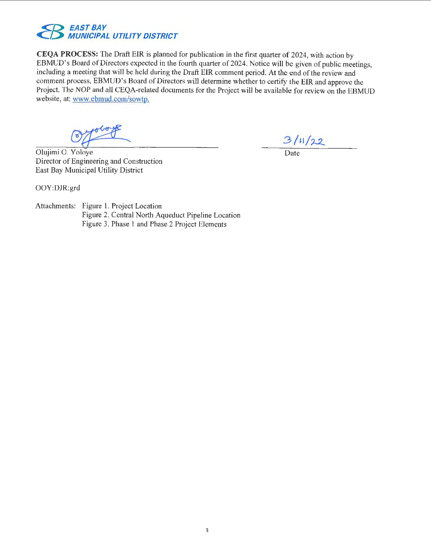

**CEQA PROCESS:** The Draft EIR is planned for publication in the first quarter of 2024, with action by EBMUD's Board of Directors expected in the fourth quarter of 2024. Notice will be given of public meetings, including a meeting that will be held during the Draft EIR comment period. At the end of the review and comment process, EBMUD's Board of Directors will determine whether to certify the EIR and approve the Project. The NOP and all CEQA-related documents for the Project will be available for review on the EBMUD website, at: www.ebmud.com/sowtp.

Olujimi O. Yoloye Director of Engineering and Construction East Bay Municipal Utility District

 $\frac{3/11/22}{\text{Date}}$ 

OOY:DJR:grd

Attachments: Figure 1. Project Location Figure 2. Central North Aqueduct Pipeline Location Figure 3. Phase 1 and Phase 2 Project Elements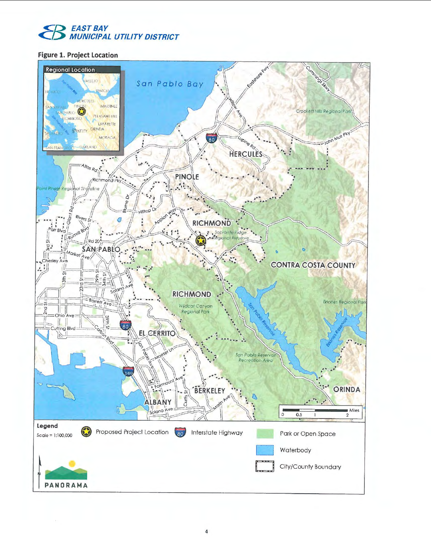

# **Figure 1. Project Location**

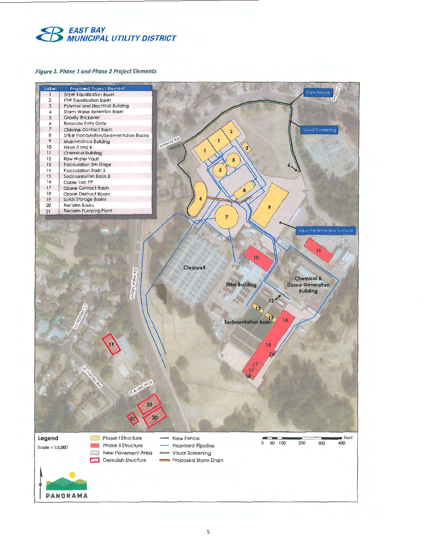

### Figure 2. Phase 1 and Phase 2 Project Elements